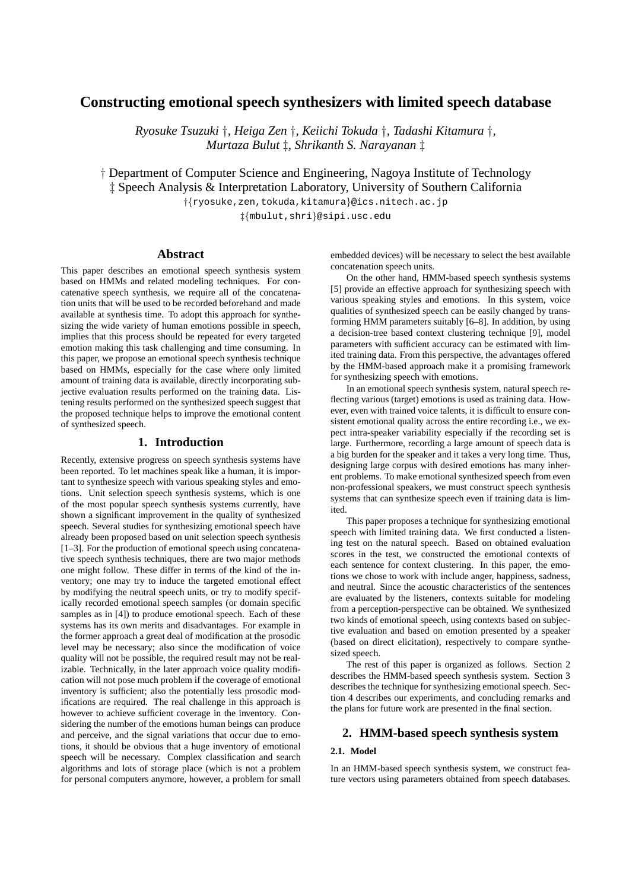# **Constructing emotional speech synthesizers with limited speech database**

*Ryosuke Tsuzuki †, Heiga Zen †, Keiichi Tokuda †, Tadashi Kitamura †, Murtaza Bulut ‡, Shrikanth S. Narayanan ‡*

*†* Department of Computer Science and Engineering, Nagoya Institute of Technology *‡* Speech Analysis & Interpretation Laboratory, University of Southern California

> *†{*ryosuke,zen,tokuda,kitamura*}*@ics.nitech.ac.jp *‡{*mbulut,shri*}*@sipi.usc.edu

# **Abstract**

This paper describes an emotional speech synthesis system based on HMMs and related modeling techniques. For concatenative speech synthesis, we require all of the concatenation units that will be used to be recorded beforehand and made available at synthesis time. To adopt this approach for synthesizing the wide variety of human emotions possible in speech, implies that this process should be repeated for every targeted emotion making this task challenging and time consuming. In this paper, we propose an emotional speech synthesis technique based on HMMs, especially for the case where only limited amount of training data is available, directly incorporating subjective evaluation results performed on the training data. Listening results performed on the synthesized speech suggest that the proposed technique helps to improve the emotional content of synthesized speech.

### **1. Introduction**

Recently, extensive progress on speech synthesis systems have been reported. To let machines speak like a human, it is important to synthesize speech with various speaking styles and emotions. Unit selection speech synthesis systems, which is one of the most popular speech synthesis systems currently, have shown a significant improvement in the quality of synthesized speech. Several studies for synthesizing emotional speech have already been proposed based on unit selection speech synthesis [1–3]. For the production of emotional speech using concatenative speech synthesis techniques, there are two major methods one might follow. These differ in terms of the kind of the inventory; one may try to induce the targeted emotional effect by modifying the neutral speech units, or try to modify specifically recorded emotional speech samples (or domain specific samples as in [4]) to produce emotional speech. Each of these systems has its own merits and disadvantages. For example in the former approach a great deal of modification at the prosodic level may be necessary; also since the modification of voice quality will not be possible, the required result may not be realizable. Technically, in the later approach voice quality modification will not pose much problem if the coverage of emotional inventory is sufficient; also the potentially less prosodic modifications are required. The real challenge in this approach is however to achieve sufficient coverage in the inventory. Considering the number of the emotions human beings can produce and perceive, and the signal variations that occur due to emotions, it should be obvious that a huge inventory of emotional speech will be necessary. Complex classification and search algorithms and lots of storage place (which is not a problem for personal computers anymore, however, a problem for small embedded devices) will be necessary to select the best available concatenation speech units.

On the other hand, HMM-based speech synthesis systems [5] provide an effective approach for synthesizing speech with various speaking styles and emotions. In this system, voice qualities of synthesized speech can be easily changed by transforming HMM parameters suitably [6–8]. In addition, by using a decision-tree based context clustering technique [9], model parameters with sufficient accuracy can be estimated with limited training data. From this perspective, the advantages offered by the HMM-based approach make it a promising framework for synthesizing speech with emotions.

In an emotional speech synthesis system, natural speech reflecting various (target) emotions is used as training data. However, even with trained voice talents, it is difficult to ensure consistent emotional quality across the entire recording i.e., we expect intra-speaker variability especially if the recording set is large. Furthermore, recording a large amount of speech data is a big burden for the speaker and it takes a very long time. Thus, designing large corpus with desired emotions has many inherent problems. To make emotional synthesized speech from even non-professional speakers, we must construct speech synthesis systems that can synthesize speech even if training data is limited.

This paper proposes a technique for synthesizing emotional speech with limited training data. We first conducted a listening test on the natural speech. Based on obtained evaluation scores in the test, we constructed the emotional contexts of each sentence for context clustering. In this paper, the emotions we chose to work with include anger, happiness, sadness, and neutral. Since the acoustic characteristics of the sentences are evaluated by the listeners, contexts suitable for modeling from a perception-perspective can be obtained. We synthesized two kinds of emotional speech, using contexts based on subjective evaluation and based on emotion presented by a speaker (based on direct elicitation), respectively to compare synthesized speech.

The rest of this paper is organized as follows. Section 2 describes the HMM-based speech synthesis system. Section 3 describes the technique for synthesizing emotional speech. Section 4 describes our experiments, and concluding remarks and the plans for future work are presented in the final section.

# **2. HMM-based speech synthesis system**

## **2.1. Model**

In an HMM-based speech synthesis system, we construct feature vectors using parameters obtained from speech databases.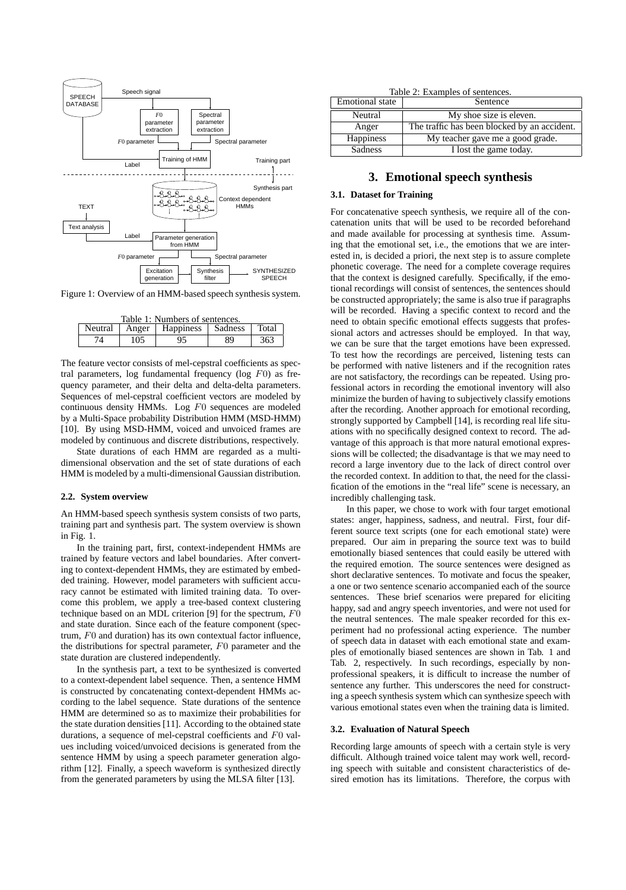

Figure 1: Overview of an HMM-based speech synthesis system.

| Table 1: Numbers of sentences. |  |                             |    |       |  |  |  |
|--------------------------------|--|-----------------------------|----|-------|--|--|--|
| Neutral                        |  | Anger   Happiness   Sadness |    | Total |  |  |  |
| 105<br>74                      |  | 95                          | 89 | 363   |  |  |  |

The feature vector consists of mel-cepstral coefficients as spectral parameters, log fundamental frequency (log *F*0) as frequency parameter, and their delta and delta-delta parameters. Sequences of mel-cepstral coefficient vectors are modeled by continuous density HMMs. Log *F*0 sequences are modeled by a Multi-Space probability Distribution HMM (MSD-HMM) [10]. By using MSD-HMM, voiced and unvoiced frames are modeled by continuous and discrete distributions, respectively.

State durations of each HMM are regarded as a multidimensional observation and the set of state durations of each HMM is modeled by a multi-dimensional Gaussian distribution.

#### **2.2. System overview**

An HMM-based speech synthesis system consists of two parts, training part and synthesis part. The system overview is shown in Fig. 1.

In the training part, first, context-independent HMMs are trained by feature vectors and label boundaries. After converting to context-dependent HMMs, they are estimated by embedded training. However, model parameters with sufficient accuracy cannot be estimated with limited training data. To overcome this problem, we apply a tree-based context clustering technique based on an MDL criterion [9] for the spectrum, *F*0 and state duration. Since each of the feature component (spectrum, *F*0 and duration) has its own contextual factor influence, the distributions for spectral parameter, *F*0 parameter and the state duration are clustered independently.

In the synthesis part, a text to be synthesized is converted to a context-dependent label sequence. Then, a sentence HMM is constructed by concatenating context-dependent HMMs according to the label sequence. State durations of the sentence HMM are determined so as to maximize their probabilities for the state duration densities [11]. According to the obtained state durations, a sequence of mel-cepstral coefficients and *F*0 values including voiced/unvoiced decisions is generated from the sentence HMM by using a speech parameter generation algorithm [12]. Finally, a speech waveform is synthesized directly from the generated parameters by using the MLSA filter [13].

|  |  | Table 2: Examples of sentences. |
|--|--|---------------------------------|
|  |  |                                 |

| <b>Emotional</b> state | Sentence                                     |
|------------------------|----------------------------------------------|
| Neutral                | My shoe size is eleven.                      |
| Anger                  | The traffic has been blocked by an accident. |
| Happiness              | My teacher gave me a good grade.             |
| <b>Sadness</b>         | I lost the game today.                       |

# **3. Emotional speech synthesis**

#### **3.1. Dataset for Training**

For concatenative speech synthesis, we require all of the concatenation units that will be used to be recorded beforehand and made available for processing at synthesis time. Assuming that the emotional set, i.e., the emotions that we are interested in, is decided a priori, the next step is to assure complete phonetic coverage. The need for a complete coverage requires that the context is designed carefully. Specifically, if the emotional recordings will consist of sentences, the sentences should be constructed appropriately; the same is also true if paragraphs will be recorded. Having a specific context to record and the need to obtain specific emotional effects suggests that professional actors and actresses should be employed. In that way, we can be sure that the target emotions have been expressed. To test how the recordings are perceived, listening tests can be performed with native listeners and if the recognition rates are not satisfactory, the recordings can be repeated. Using professional actors in recording the emotional inventory will also minimize the burden of having to subjectively classify emotions after the recording. Another approach for emotional recording, strongly supported by Campbell [14], is recording real life situations with no specifically designed context to record. The advantage of this approach is that more natural emotional expressions will be collected; the disadvantage is that we may need to record a large inventory due to the lack of direct control over the recorded context. In addition to that, the need for the classification of the emotions in the "real life" scene is necessary, an incredibly challenging task.

In this paper, we chose to work with four target emotional states: anger, happiness, sadness, and neutral. First, four different source text scripts (one for each emotional state) were prepared. Our aim in preparing the source text was to build emotionally biased sentences that could easily be uttered with the required emotion. The source sentences were designed as short declarative sentences. To motivate and focus the speaker, a one or two sentence scenario accompanied each of the source sentences. These brief scenarios were prepared for eliciting happy, sad and angry speech inventories, and were not used for the neutral sentences. The male speaker recorded for this experiment had no professional acting experience. The number of speech data in dataset with each emotional state and examples of emotionally biased sentences are shown in Tab. 1 and Tab. 2, respectively. In such recordings, especially by nonprofessional speakers, it is difficult to increase the number of sentence any further. This underscores the need for constructing a speech synthesis system which can synthesize speech with various emotional states even when the training data is limited.

#### **3.2. Evaluation of Natural Speech**

Recording large amounts of speech with a certain style is very difficult. Although trained voice talent may work well, recording speech with suitable and consistent characteristics of desired emotion has its limitations. Therefore, the corpus with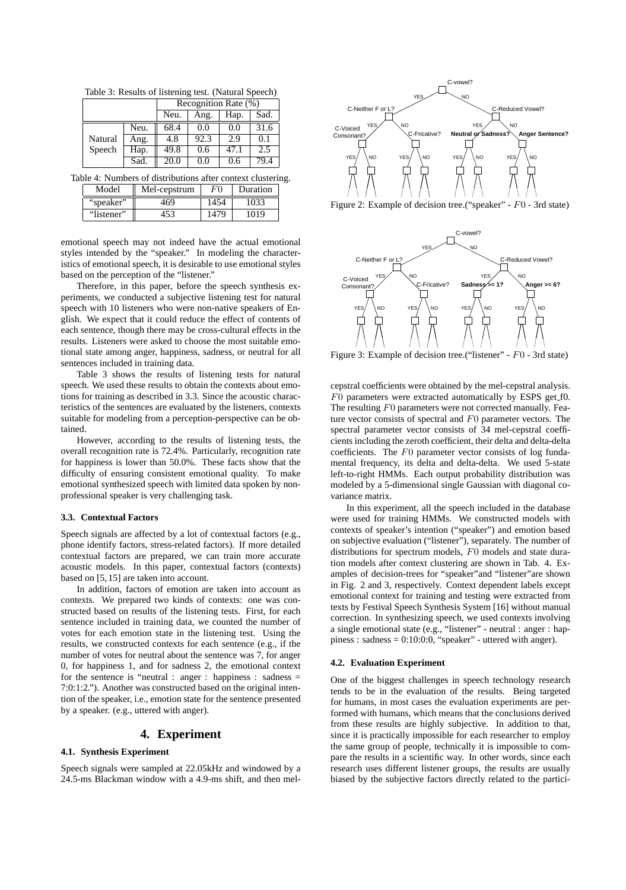Table 3: Results of listening test. (Natural Speech)

|         |      | Recognition Rate (%) |      |      |      |  |  |
|---------|------|----------------------|------|------|------|--|--|
|         |      | Neu.                 | Ang. | Hap. | Sad. |  |  |
|         | Neu. | 68.4                 | 0.0  | 0.0  | 31.6 |  |  |
| Natural | Ang. | 4.8                  | 92.3 | -2.9 | O.   |  |  |
| Speech  | Hap. | 49.8                 | 0.6  | 47.1 | 2.5  |  |  |
|         | Sad. | 20.0                 | 0.0  | 0.6  | 79.4 |  |  |

Table 4: Numbers of distributions after context clustering.

| Model      | Mel-cepstrum | <b>Duration</b> |  |
|------------|--------------|-----------------|--|
| "speaker"  |              |                 |  |
| "listener" |              |                 |  |

emotional speech may not indeed have the actual emotional styles intended by the "speaker." In modeling the characteristics of emotional speech, it is desirable to use emotional styles based on the perception of the "listener."

Therefore, in this paper, before the speech synthesis experiments, we conducted a subjective listening test for natural speech with 10 listeners who were non-native speakers of English. We expect that it could reduce the effect of contents of each sentence, though there may be cross-cultural effects in the results. Listeners were asked to choose the most suitable emotional state among anger, happiness, sadness, or neutral for all sentences included in training data.

Table 3 shows the results of listening tests for natural speech. We used these results to obtain the contexts about emotions for training as described in 3.3. Since the acoustic characteristics of the sentences are evaluated by the listeners, contexts suitable for modeling from a perception-perspective can be obtained.

However, according to the results of listening tests, the overall recognition rate is 72.4%. Particularly, recognition rate for happiness is lower than 50.0%. These facts show that the difficulty of ensuring consistent emotional quality. To make emotional synthesized speech with limited data spoken by nonprofessional speaker is very challenging task.

#### **3.3. Contextual Factors**

Speech signals are affected by a lot of contextual factors (e.g., phone identify factors, stress-related factors). If more detailed contextual factors are prepared, we can train more accurate acoustic models. In this paper, contextual factors (contexts) based on [5, 15] are taken into account.

In addition, factors of emotion are taken into account as contexts. We prepared two kinds of contexts: one was constructed based on results of the listening tests. First, for each sentence included in training data, we counted the number of votes for each emotion state in the listening test. Using the results, we constructed contexts for each sentence (e.g., if the number of votes for neutral about the sentence was 7, for anger 0, for happiness 1, and for sadness 2, the emotional context for the sentence is "neutral : anger : happiness : sadness = 7:0:1:2."). Another was constructed based on the original intention of the speaker, i.e., emotion state for the sentence presented by a speaker. (e.g., uttered with anger).

# **4. Experiment**

## **4.1. Synthesis Experiment**

Speech signals were sampled at 22.05kHz and windowed by a 24.5-ms Blackman window with a 4.9-ms shift, and then mel-



Figure 2: Example of decision tree.("speaker" - *F*0 - 3rd state)



Figure 3: Example of decision tree.("listener" - *F*0 - 3rd state)

cepstral coefficients were obtained by the mel-cepstral analysis. *F*0 parameters were extracted automatically by ESPS get f0. The resulting *F*0 parameters were not corrected manually. Feature vector consists of spectral and *F*0 parameter vectors. The spectral parameter vector consists of 34 mel-cepstral coefficients including the zeroth coefficient, their delta and delta-delta coefficients. The *F*0 parameter vector consists of log fundamental frequency, its delta and delta-delta. We used 5-state left-to-right HMMs. Each output probability distribution was modeled by a 5-dimensional single Gaussian with diagonal covariance matrix.

In this experiment, all the speech included in the database were used for training HMMs. We constructed models with contexts of speaker's intention ("speaker") and emotion based on subjective evaluation ("listener"), separately. The number of distributions for spectrum models, *F*0 models and state duration models after context clustering are shown in Tab. 4. Examples of decision-trees for "speaker"and "listener"are shown in Fig. 2 and 3, respectively. Context dependent labels except emotional context for training and testing were extracted from texts by Festival Speech Synthesis System [16] without manual correction. In synthesizing speech, we used contexts involving a single emotional state (e.g., "listener" - neutral : anger : happiness : sadness =  $0:10:0:0$ , "speaker" - uttered with anger).

### **4.2. Evaluation Experiment**

One of the biggest challenges in speech technology research tends to be in the evaluation of the results. Being targeted for humans, in most cases the evaluation experiments are performed with humans, which means that the conclusions derived from these results are highly subjective. In addition to that, since it is practically impossible for each researcher to employ the same group of people, technically it is impossible to compare the results in a scientific way. In other words, since each research uses different listener groups, the results are usually biased by the subjective factors directly related to the partici